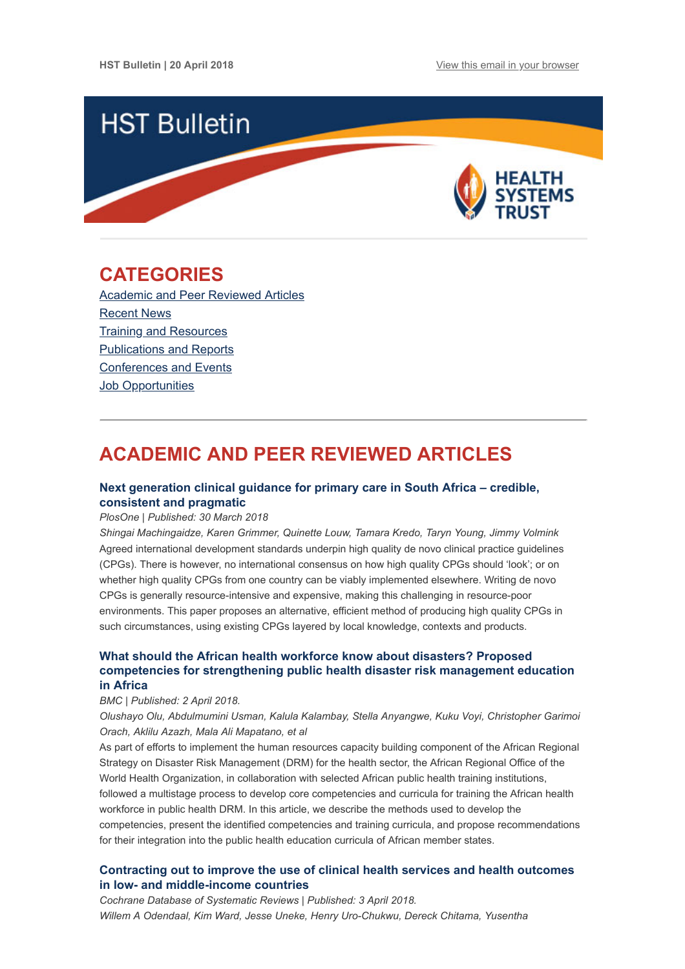

## <span id="page-0-1"></span>**CATEGORIES**

[Academic and Peer Reviewed Articles](#page-0-0) [Recent News](#page-2-0) **[Training and Resources](#page-3-0)** [Publications and Reports](#page-3-1) [Conferences and Events](#page-3-2) Job Opportunities

# <span id="page-0-0"></span>**ACADEMIC AND PEER REVIEWED ARTICLES**

## **[Next generation clinical guidance for primary care in South Africa – credible,](http://journals.plos.org/plosone/article?id=10.1371/journal.pone.0195025) consistent and pragmatic**

#### *PlosOne | Published: 30 March 2018*

*Shingai Machingaidze, Karen Grimmer, Quinette Louw, Tamara Kredo, Taryn Young, Jimmy Volmink* Agreed international development standards underpin high quality de novo clinical practice guidelines (CPGs). There is however, no international consensus on how high quality CPGs should 'look'; or on whether high quality CPGs from one country can be viably implemented elsewhere. Writing de novo CPGs is generally resource-intensive and expensive, making this challenging in resource-poor environments. This paper proposes an alternative, efficient method of producing high quality CPGs in such circumstances, using existing CPGs layered by local knowledge, contexts and products.

## **What should the African health workforce know about disasters? Proposed [competencies for strengthening public health disaster risk management education](https://bmcmededuc.biomedcentral.com/articles/10.1186/s12909-018-1163-9) in Africa**

#### *BMC | Published: 2 April 2018.*

*Olushayo Olu, Abdulmumini Usman, Kalula Kalambay, Stella Anyangwe, Kuku Voyi, Christopher Garimoi Orach, Aklilu Azazh, Mala Ali Mapatano, et al* 

As part of efforts to implement the human resources capacity building component of the African Regional Strategy on Disaster Risk Management (DRM) for the health sector, the African Regional Office of the World Health Organization, in collaboration with selected African public health training institutions, followed a multistage process to develop core competencies and curricula for training the African health workforce in public health DRM. In this article, we describe the methods used to develop the competencies, present the identified competencies and training curricula, and propose recommendations for their integration into the public health education curricula of African member states.

### **[Contracting out to improve the use of clinical health services and health outcomes](http://cochranelibrary-wiley.com/doi/10.1002/14651858.CD008133.pub2/full) in low- and middle-income countries**

*Cochrane Database of Systematic Reviews | Published: 3 April 2018. Willem A Odendaal, Kim Ward, Jesse Uneke, Henry Uro-Chukwu, Dereck Chitama, Yusentha*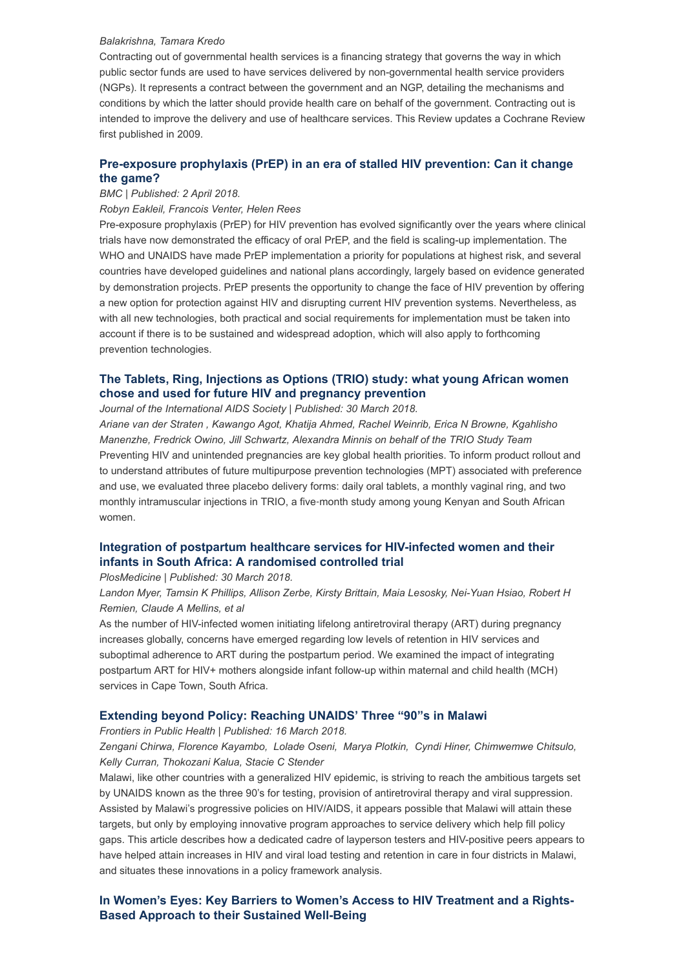#### *Balakrishna, Tamara Kredo*

Contracting out of governmental health services is a financing strategy that governs the way in which public sector funds are used to have services delivered by non-governmental health service providers (NGPs). It represents a contract between the government and an NGP, detailing the mechanisms and conditions by which the latter should provide health care on behalf of the government. Contracting out is intended to improve the delivery and use of healthcare services. This Review updates a Cochrane Review first published in 2009.

## **[Pre-exposure prophylaxis \(PrEP\) in an era of stalled HIV prevention: Can it change](https://retrovirology.biomedcentral.com/articles/10.1186/s12977-018-0408-3) the game?**

## *BMC | Published: 2 April 2018.*

#### *Robyn Eakleil, Francois Venter, Helen Rees*

Pre-exposure prophylaxis (PrEP) for HIV prevention has evolved significantly over the years where clinical trials have now demonstrated the efficacy of oral PrEP, and the field is scaling-up implementation. The WHO and UNAIDS have made PrEP implementation a priority for populations at highest risk, and several countries have developed guidelines and national plans accordingly, largely based on evidence generated by demonstration projects. PrEP presents the opportunity to change the face of HIV prevention by offering a new option for protection against HIV and disrupting current HIV prevention systems. Nevertheless, as with all new technologies, both practical and social requirements for implementation must be taken into account if there is to be sustained and widespread adoption, which will also apply to forthcoming prevention technologies.

## **[The Tablets, Ring, Injections as Options \(TRIO\) study: what young African women](https://onlinelibrary.wiley.com/doi/10.1002/jia2.25094) chose and used for future HIV and pregnancy prevention**

*Journal of the International AIDS Society | Published: 30 March 2018.* 

*Ariane van der Straten , Kawango Agot, Khatija Ahmed, Rachel Weinrib, Erica N Browne, Kgahlisho Manenzhe, Fredrick Owino, Jill Schwartz, Alexandra Minnis on behalf of the TRIO Study Team* Preventing HIV and unintended pregnancies are key global health priorities. To inform product rollout and to understand attributes of future multipurpose prevention technologies (MPT) associated with preference and use, we evaluated three placebo delivery forms: daily oral tablets, a monthly vaginal ring, and two monthly intramuscular injections in TRIO, a five-month study among young Kenyan and South African women.

## **[Integration of postpartum healthcare services for HIV-infected women and their](http://journals.plos.org/plosmedicine/article?id=10.1371/journal.pmed.1002547) infants in South Africa: A randomised controlled trial**

*PlosMedicine | Published: 30 March 2018.*

*Landon Myer, Tamsin K Phillips, Allison Zerbe, Kirsty Brittain, Maia Lesosky, Nei-Yuan Hsiao, Robert H Remien, Claude A Mellins, et al*

As the number of HIV-infected women initiating lifelong antiretroviral therapy (ART) during pregnancy increases globally, concerns have emerged regarding low levels of retention in HIV services and suboptimal adherence to ART during the postpartum period. We examined the impact of integrating postpartum ART for HIV+ mothers alongside infant follow-up within maternal and child health (MCH) services in Cape Town, South Africa.

#### **[Extending beyond Policy: Reaching UNAIDS' Three "90"s in Malawi](https://www.frontiersin.org/articles/10.3389/fpubh.2018.00069/full)**

#### *Frontiers in Public Health | Published: 16 March 2018.*

*Zengani Chirwa, Florence Kayambo, Lolade Oseni, Marya Plotkin, Cyndi Hiner, Chimwemwe Chitsulo, Kelly Curran, Thokozani Kalua, Stacie C Stender*

Malawi, like other countries with a generalized HIV epidemic, is striving to reach the ambitious targets set by UNAIDS known as the three 90's for testing, provision of antiretroviral therapy and viral suppression. Assisted by Malawi's progressive policies on HIV/AIDS, it appears possible that Malawi will attain these targets, but only by employing innovative program approaches to service delivery which help fill policy gaps. This article describes how a dedicated cadre of layperson testers and HIV-positive peers appears to have helped attain increases in HIV and viral load testing and retention in care in four districts in Malawi, and situates these innovations in a policy framework analysis.

## **[In Women's Eyes: Key Barriers to Women's Access to HIV Treatment and a Rights-](https://www.hhrjournal.org/2017/12/in-womens-eyes-key-barriers-to-womens-access-to-hiv-treatment-and-a-rights-based-approach-to-their-sustained-well-being/)Based Approach to their Sustained Well-Being**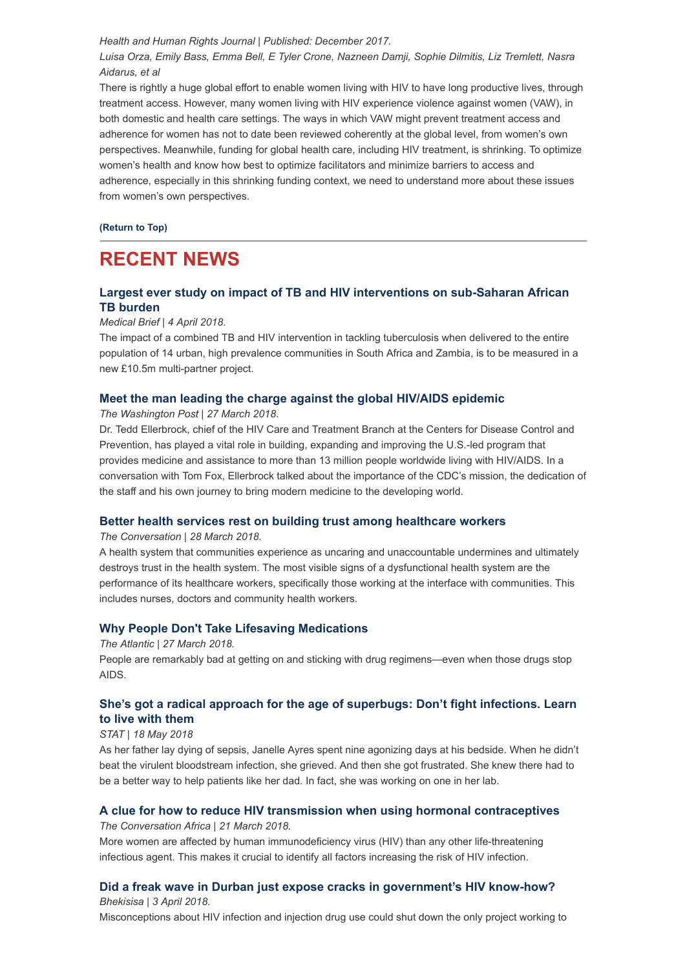*Health and Human Rights Journal | Published: December 2017.*

*Luisa Orza, Emily Bass, Emma Bell, E Tyler Crone, Nazneen Damji, Sophie Dilmitis, Liz Tremlett, Nasra Aidarus, et al*

There is rightly a huge global effort to enable women living with HIV to have long productive lives, through treatment access. However, many women living with HIV experience violence against women (VAW), in both domestic and health care settings. The ways in which VAW might prevent treatment access and adherence for women has not to date been reviewed coherently at the global level, from women's own perspectives. Meanwhile, funding for global health care, including HIV treatment, is shrinking. To optimize women's health and know how best to optimize facilitators and minimize barriers to access and adherence, especially in this shrinking funding context, we need to understand more about these issues from women's own perspectives.

**[\(Return to Top\)](#page-0-1)**

## <span id="page-2-0"></span>**RECENT NEWS**

## **[Largest ever study on impact of TB and HIV interventions on sub-Saharan African](https://www.medicalbrief.co.za/archives/largest-ever-study-impact-tb-hiv-interventions-sub-saharan-african-tb-burden/) TB burden**

#### *Medical Brief | 4 April 2018.*

The impact of a combined TB and HIV intervention in tackling tuberculosis when delivered to the entire population of 14 urban, high prevalence communities in South Africa and Zambia, is to be measured in a new £10.5m multi-partner project.

#### **[Meet the man leading the charge against the global HIV/AIDS epidemic](https://www.washingtonpost.com/news/on-leadership/wp/2018/03/27/meet-the-man-leading-the-charge-against-the-global-hivaids-epidemic/?utm_campaign=7b1b5ebdb5-EMAIL_CAMPAIGN_2018_03_28&utm_medium=email&utm_source=Global%20Health%20NOW%20Main%20List&utm_term=.2e9032294a46)**

*The Washington Post | 27 March 2018*.

Dr. Tedd Ellerbrock, chief of the HIV Care and Treatment Branch at the Centers for Disease Control and Prevention, has played a vital role in building, expanding and improving the U.S.-led program that provides medicine and assistance to more than 13 million people worldwide living with HIV/AIDS. In a conversation with Tom Fox, Ellerbrock talked about the importance of the CDC's mission, the dedication of the staff and his own journey to bring modern medicine to the developing world.

### **[Better health services rest on building trust among healthcare workers](https://theconversation.com/better-health-services-rest-on-building-trust-among-healthcare-workers-93433)**

#### *The Conversation | 28 March 2018.*

A health system that communities experience as uncaring and unaccountable undermines and ultimately destroys trust in the health system. The most visible signs of a dysfunctional health system are the performance of its healthcare workers, specifically those working at the interface with communities. This includes nurses, doctors and community health workers.

### **[Why People Don't Take Lifesaving Medications](https://www.theatlantic.com/health/archive/2018/03/why-people-dont-take-life-saving-medications/556538/?utm_source=Global+Health+NOW+Main+List&utm_campaign=7b1b5ebdb5-EMAIL_CAMPAIGN_2018_03_28&utm_medium=email&utm_term=0_8d0d062dbd-7b1b5ebdb5-2811001)**

#### *The Atlantic | 27 March 2018.*

People are remarkably bad at getting on and sticking with drug regimens—even when those drugs stop AIDS.

## **[She's got a radical approach for the age of superbugs: Don't fight infections. Learn](https://www.statnews.com/2017/05/18/superbug-new-model-infection/) to live with them**

#### *STAT | 18 May 2018*

As her father lay dying of sepsis, Janelle Ayres spent nine agonizing days at his bedside. When he didn't beat the virulent bloodstream infection, she grieved. And then she got frustrated. She knew there had to be a better way to help patients like her dad. In fact, she was working on one in her lab.

## **[A clue for how to reduce HIV transmission when using hormonal contraceptives](https://theconversation.com/a-clue-for-how-to-reduce-hiv-transmission-when-using-hormonal-contraceptives-90292)**

*The Conversation Africa | 21 March 2018.*

More women are affected by human immunodeficiency virus (HIV) than any other life-threatening infectious agent. This makes it crucial to identify all factors increasing the risk of HIV infection.

#### **[Did a freak wave in Durban just expose cracks in government's HIV know-how?](http://bhekisisa.org/article/2018-03-27-00-turning-the-tide-durban-freak-wave-exposes-prejudice-against-drug-users)** *Bhekisisa | 3 April 2018.*

Misconceptions about HIV infection and injection drug use could shut down the only project working to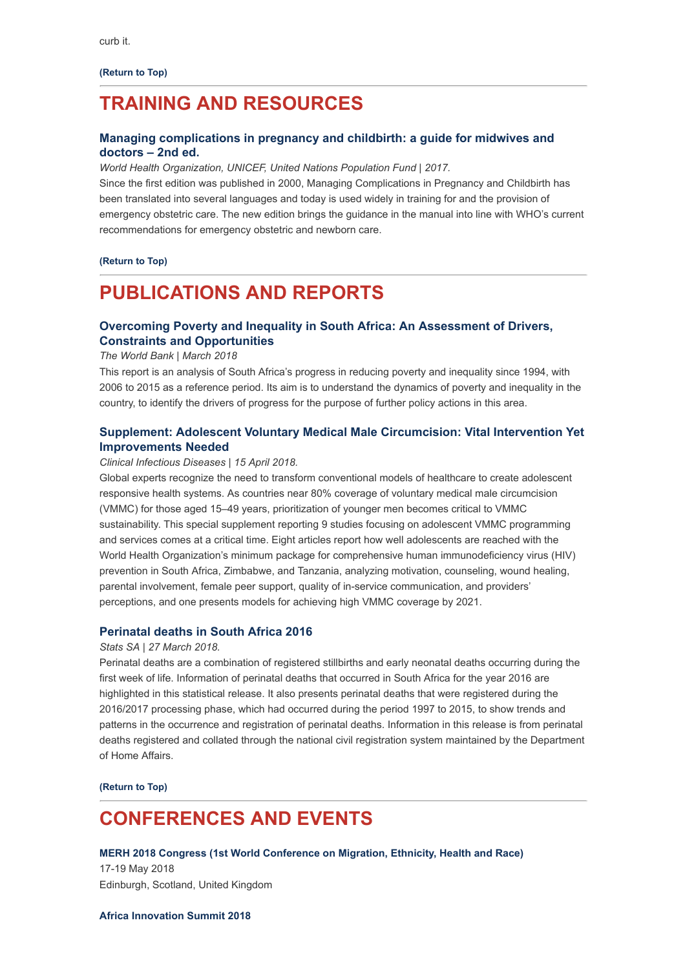**[\(Return to Top\)](#page-0-1)**

## <span id="page-3-0"></span>**TRAINING AND RESOURCES**

### **[Managing complications in pregnancy and childbirth: a guide for midwives and](http://apps.who.int/iris/bitstream/handle/10665/255760/9789241565493-eng.pdf;jsessionid=8E514F1B7408661266832B9FEF8F6B58?sequence=1) doctors – 2nd ed.**

*World Health Organization, UNICEF, United Nations Population Fund | 2017.*

Since the first edition was published in 2000, Managing Complications in Pregnancy and Childbirth has been translated into several languages and today is used widely in training for and the provision of emergency obstetric care. The new edition brings the guidance in the manual into line with WHO's current recommendations for emergency obstetric and newborn care.

#### **[\(Return to Top\)](#page-0-1)**

## <span id="page-3-1"></span>**PUBLICATIONS AND REPORTS**

## **[Overcoming Poverty and Inequality in South Africa: An Assessment of Drivers,](http://documents.worldbank.org/curated/en/530481521735906534/pdf/124521-REV-OUO-South-Africa-Poverty-and-Inequality-Assessment-Report-2018-FINAL-WEB.pdf) Constraints and Opportunities**

#### *The World Bank | March 2018*

This report is an analysis of South Africa's progress in reducing poverty and inequality since 1994, with 2006 to 2015 as a reference period. Its aim is to understand the dynamics of poverty and inequality in the country, to identify the drivers of progress for the purpose of further policy actions in this area.

### **[Supplement: Adolescent Voluntary Medical Male Circumcision: Vital Intervention Yet](https://academic.oup.com/cid/issue/66/suppl_3) Improvements Needed**

#### *Clinical Infectious Diseases | 15 April 2018.*

Global experts recognize the need to transform conventional models of healthcare to create adolescent responsive health systems. As countries near 80% coverage of voluntary medical male circumcision (VMMC) for those aged 15–49 years, prioritization of younger men becomes critical to VMMC sustainability. This special supplement reporting 9 studies focusing on adolescent VMMC programming and services comes at a critical time. Eight articles report how well adolescents are reached with the World Health Organization's minimum package for comprehensive human immunodeficiency virus (HIV) prevention in South Africa, Zimbabwe, and Tanzania, analyzing motivation, counseling, wound healing, parental involvement, female peer support, quality of in-service communication, and providers' perceptions, and one presents models for achieving high VMMC coverage by 2021.

### **[Perinatal deaths in South Africa 2016](http://www.statssa.gov.za/publications/P03094/P030942016.pdf)**

#### *Stats SA | 27 March 2018.*

Perinatal deaths are a combination of registered stillbirths and early neonatal deaths occurring during the first week of life. Information of perinatal deaths that occurred in South Africa for the year 2016 are highlighted in this statistical release. It also presents perinatal deaths that were registered during the 2016/2017 processing phase, which had occurred during the period 1997 to 2015, to show trends and patterns in the occurrence and registration of perinatal deaths. Information in this release is from perinatal deaths registered and collated through the national civil registration system maintained by the Department of Home Affairs.

**[\(Return to Top\)](#page-0-1)**

## <span id="page-3-2"></span>**CONFERENCES AND EVENTS**

#### **[MERH 2018 Congress \(1st World Conference on Migration, Ethnicity, Health and Race\)](http://www.merhcongress.com/)**

17-19 May 2018 Edinburgh, Scotland, United Kingdom

#### **[Africa Innovation Summit 2018](http://www.africainnovationsummit.com/)**